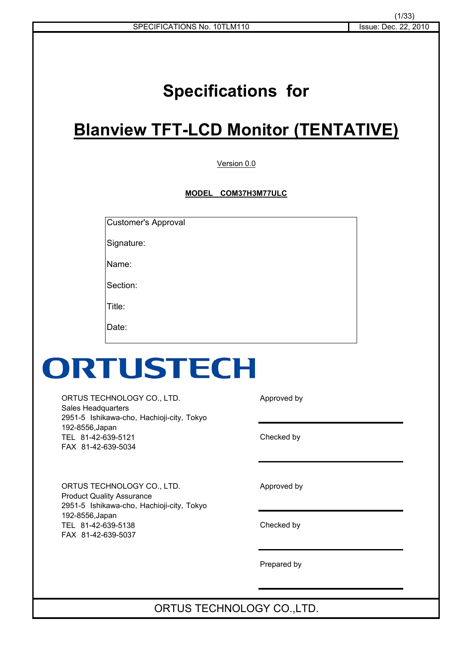# **Specifications for**

## **Blanview TFT-LCD Monitor (TENTATIVE)**

Version 0.0

**MODEL**䇭 **COM37H3M77ULC**

Customer's Approval

Signature:

Name:

Section:

Title:

Date:

# ORTUSTECH

ORTUS TECHNOLOGY CO., LTD. Approved by Sales Headquarters 2951-5 Ishikawa-cho, Hachioji-city, Tokyo 192-8556,Japan TEL 81-42-639-5121 Checked by FAX 81-42-639-5034

ORTUS TECHNOLOGY CO., LTD. Approved by Product Quality Assurance 2951-5 Ishikawa-cho, Hachioji-city, Tokyo 192-8556,Japan TEL 81-42-639-5138 Checked by FAX 81-42-639-5037

Prepared by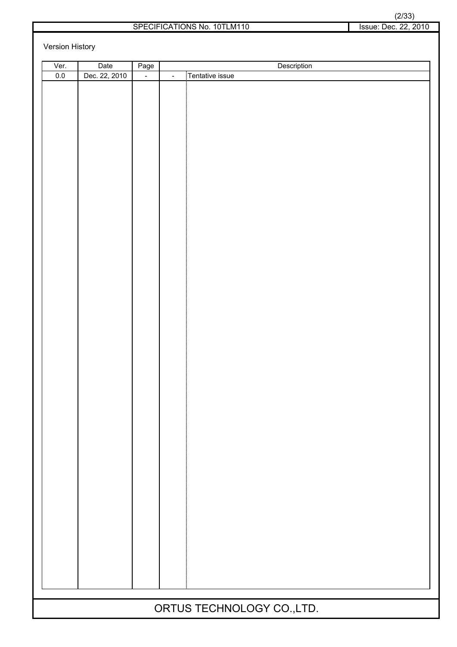|                      | (2/33) |  |
|----------------------|--------|--|
| Issue: Dec. 22. 2010 |        |  |

#### SPECIFICATIONS No. 10TLM110 Issue: Dec. 22, 2010

Version History

| Ver. | Date          | Page   | Description                |
|------|---------------|--------|----------------------------|
| 0.0  | Dec. 22, 2010 | $\Box$ | Tentative issue<br>$\Box$  |
|      |               |        |                            |
|      |               |        |                            |
|      |               |        |                            |
|      |               |        |                            |
|      |               |        |                            |
|      |               |        |                            |
|      |               |        |                            |
|      |               |        |                            |
|      |               |        |                            |
|      |               |        |                            |
|      |               |        |                            |
|      |               |        |                            |
|      |               |        |                            |
|      |               |        |                            |
|      |               |        |                            |
|      |               |        |                            |
|      |               |        |                            |
|      |               |        |                            |
|      |               |        |                            |
|      |               |        |                            |
|      |               |        |                            |
|      |               |        |                            |
|      |               |        |                            |
|      |               |        |                            |
|      |               |        |                            |
|      |               |        |                            |
|      |               |        |                            |
|      |               |        |                            |
|      |               |        |                            |
|      |               |        |                            |
|      |               |        |                            |
|      |               |        |                            |
|      |               |        |                            |
|      |               |        |                            |
|      |               |        |                            |
|      |               |        |                            |
|      |               |        |                            |
|      |               |        |                            |
|      |               |        |                            |
|      |               |        |                            |
|      |               |        |                            |
|      |               |        |                            |
|      |               |        |                            |
|      |               |        |                            |
|      |               |        |                            |
|      |               |        |                            |
|      |               |        |                            |
|      |               |        | ORTUS TECHNOLOGY CO., LTD. |
|      |               |        |                            |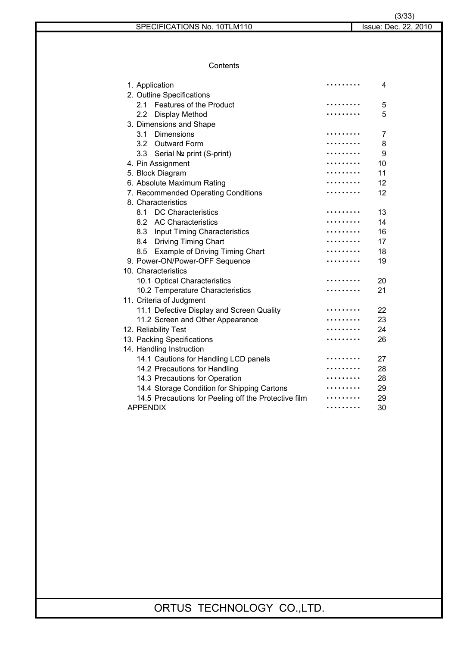**Contents** 

| 1. Application                                       | . | 4  |
|------------------------------------------------------|---|----|
| 2. Outline Specifications                            |   |    |
| <b>Features of the Product</b><br>21                 | . | 5  |
| Display Method<br>$2.2\,$                            |   | 5  |
| 3. Dimensions and Shape                              |   |    |
| 3.1<br>Dimensions                                    |   | 7  |
| <b>Outward Form</b><br>3.2                           |   | 8  |
| 3.3<br>Serial Nº print (S-print)                     |   | 9  |
| 4. Pin Assignment                                    |   | 10 |
| 5. Block Diagram                                     |   | 11 |
| 6. Absolute Maximum Rating                           |   | 12 |
| 7. Recommended Operating Conditions                  |   | 12 |
| 8. Characteristics                                   |   |    |
| <b>DC Characteristics</b><br>8.1                     |   | 13 |
| 8.2 AC Characteristics                               |   | 14 |
| 8.3 Input Timing Characteristics                     |   | 16 |
| 8.4 Driving Timing Chart                             |   | 17 |
| <b>Example of Driving Timing Chart</b><br>8.5        |   | 18 |
| 9. Power-ON/Power-OFF Sequence                       |   | 19 |
| 10. Characteristics                                  |   |    |
| 10.1 Optical Characteristics                         |   | 20 |
| 10.2 Temperature Characteristics                     |   | 21 |
| 11. Criteria of Judgment                             |   |    |
| 11.1 Defective Display and Screen Quality            |   | 22 |
| 11.2 Screen and Other Appearance                     |   | 23 |
| 12. Reliability Test                                 |   | 24 |
| 13. Packing Specifications                           |   | 26 |
| 14. Handling Instruction                             |   |    |
| 14.1 Cautions for Handling LCD panels                |   | 27 |
| 14.2 Precautions for Handling                        |   | 28 |
| 14.3 Precautions for Operation                       |   | 28 |
| 14.4 Storage Condition for Shipping Cartons          |   | 29 |
| 14.5 Precautions for Peeling off the Protective film |   | 29 |
| <b>APPENDIX</b>                                      |   | 30 |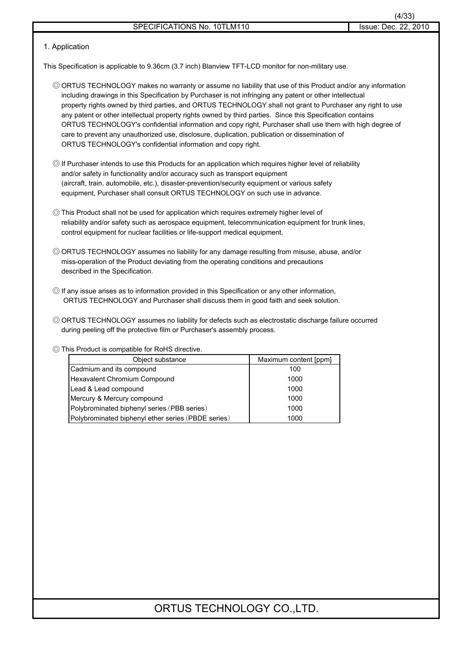#### 1. Application

This Specification is applicable to 9.36cm (3.7 inch) Blanview TFT-LCD monitor for non-military use.

- 䃁 ORTUS TECHNOLOGY makes no warranty or assume no liability that use of this Product and/or any information including drawings in this Specification by Purchaser is not infringing any patent or other intellectual property rights owned by third parties, and ORTUS TECHNOLOGY shall not grant to Purchaser any right to use any patent or other intellectual property rights owned by third parties. Since this Specification contains ORTUS TECHNOLOGY's confidential information and copy right, Purchaser shall use them with high degree of care to prevent any unauthorized use, disclosure, duplication, publication or dissemination of ORTUS TECHNOLOGY's confidential information and copy right.
- 䃁 If Purchaser intends to use this Products for an application which requires higher level of reliability and/or safety in functionality and/or accuracy such as transport equipment (aircraft, train, automobile, etc.), disaster-prevention/security equipment or various safety equipment, Purchaser shall consult ORTUS TECHNOLOGY on such use in advance.
- 䃁 This Product shall not be used for application which requires extremely higher level of reliability and/or safety such as aerospace equipment, telecommunication equipment for trunk lines, control equipment for nuclear facilities or life-support medical equipment.
- © ORTUS TECHNOLOGY assumes no liability for any damage resulting from misuse, abuse, and/or miss-operation of the Product deviating from the operating conditions and precautions described in the Specification.
- 䃁 If any issue arises as to information provided in this Specification or any other information, ORTUS TECHNOLOGY and Purchaser shall discuss them in good faith and seek solution.
- 䃁 ORTUS TECHNOLOGY assumes no liability for defects such as electrostatic discharge failure occurred during peeling off the protective film or Purchaser's assembly process.

#### 䃁 This Product is compatible for RoHS directive.

| Object substance                                   | Maximum content [ppm] |
|----------------------------------------------------|-----------------------|
| Cadmium and its compound                           | 100                   |
| Hexavalent Chromium Compound                       | 1000                  |
| Lead & Lead compound                               | 1000                  |
| Mercury & Mercury compound                         | 1000                  |
| Polybrominated biphenyl series (PBB series)        | 1000                  |
| Polybrominated biphenyl ether series (PBDE series) | 1000                  |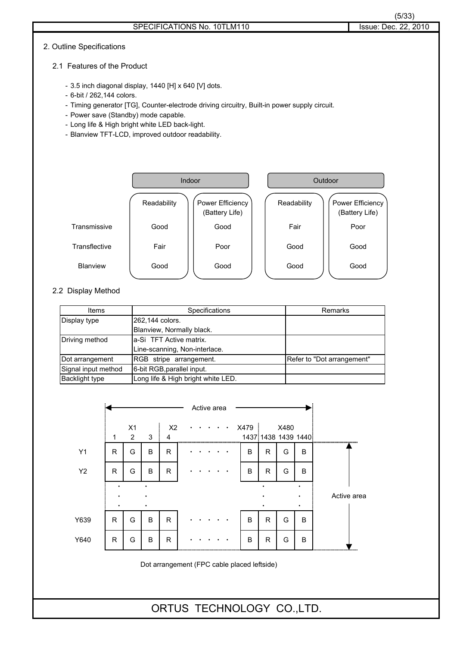#### 2. Outline Specifications

- 3.5 inch diagonal display, 1440 [H] x 640 [V] dots.
- 6-bit / 262,144 colors.
- Timing generator [TG], Counter-electrode driving circuitry, Built-in power supply circuit.
- Power save (Standby) mode capable.
- Long life & High bright white LED back-light.
- Blanview TFT-LCD, improved outdoor readability.



#### 2.2 Display Method

| Items                 | Specifications                     | Remarks                    |
|-----------------------|------------------------------------|----------------------------|
| Display type          | 262,144 colors.                    |                            |
|                       | Blanview, Normally black.          |                            |
| Driving method        | a-Si TFT Active matrix.            |                            |
|                       | Line-scanning, Non-interlace.      |                            |
| Dot arrangement       | RGB stripe arrangement.            | Refer to "Dot arrangement" |
| Signal input method   | 6-bit RGB, parallel input.         |                            |
| <b>Backlight type</b> | Long life & High bright white LED. |                            |

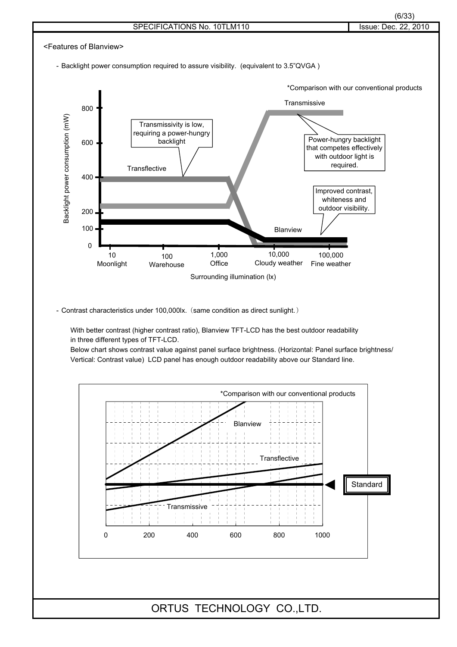

- Contrast characteristics under 100,000lx. (same condition as direct sunlight.)

With better contrast (higher contrast ratio), Blanview TFT-LCD has the best outdoor readability in three different types of TFT-LCD.

Below chart shows contrast value against panel surface brightness. (Horizontal: Panel surface brightness/ Vertical: Contrast value) LCD panel has enough outdoor readability above our Standard line.

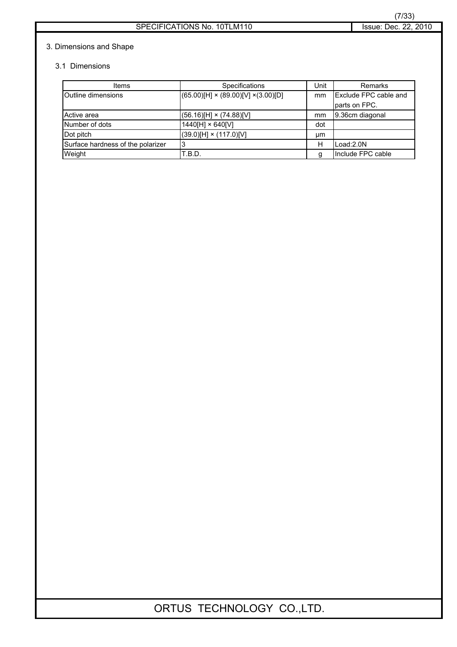#### 3. Dimensions and Shape

#### 3.1 Dimensions

| Items                             | <b>Specifications</b>                           | Unit | Remarks               |
|-----------------------------------|-------------------------------------------------|------|-----------------------|
| <b>Outline dimensions</b>         | $(65.00)[H] \times (89.00)[V] \times (3.00)[D]$ | mm   | Exclude FPC cable and |
|                                   |                                                 |      | parts on FPC.         |
| Active area                       | $(56.16)$ [H] × $(74.88)$ [V]                   | mm   | 9.36cm diagonal       |
| Number of dots                    | 1440[H] × 640[V]                                | dot  |                       |
| Dot pitch                         | $(39.0)[H] \times (117.0)[V]$                   | μm   |                       |
| Surface hardness of the polarizer | 3                                               | н    | Load:2.0N             |
| Weight                            | T.B.D.                                          | q    | Include FPC cable     |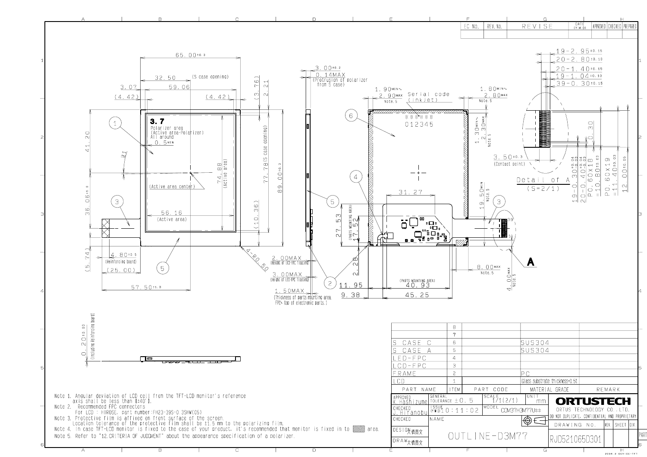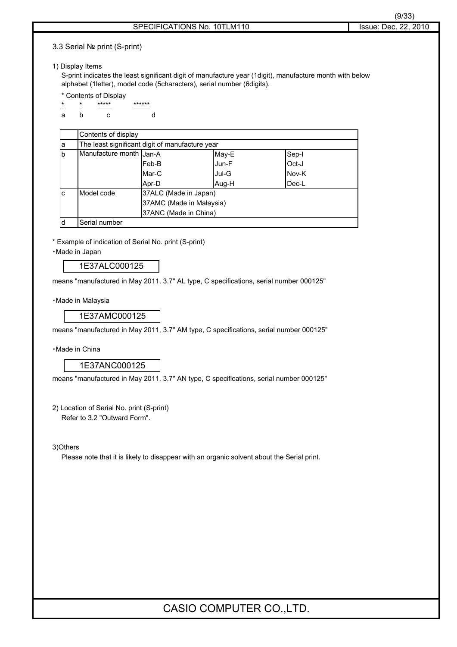3.3 Serial Nº print (S-print)

#### 1) Display Items

S-print indicates the least significant digit of manufacture year (1digit), manufacture month with below alphabet (1letter), model code (5characters), serial number (6digits).

- \* Contents of Display
- \* \*\*\*\*\* \*\*\*\*\*\*\* ab c d

|             | Contents of display     |                                                 |       |       |  |  |  |  |
|-------------|-------------------------|-------------------------------------------------|-------|-------|--|--|--|--|
| a           |                         | The least significant digit of manufacture year |       |       |  |  |  |  |
| $\mathsf b$ | Manufacture month Jan-A | Sep-I<br>May-E                                  |       |       |  |  |  |  |
|             |                         | Feb-B                                           | Jun-F | Oct-J |  |  |  |  |
|             |                         | Mar-C                                           | Jul-G | Nov-K |  |  |  |  |
|             |                         | Apr-D                                           | Aug-H | Dec-L |  |  |  |  |
| C           | Model code              | 37ALC (Made in Japan)                           |       |       |  |  |  |  |
|             |                         | 37AMC (Made in Malaysia)                        |       |       |  |  |  |  |
|             |                         | 37ANC (Made in China)                           |       |       |  |  |  |  |
| d           | Serial number           |                                                 |       |       |  |  |  |  |

\* Example of indication of Serial No. print (S-print)

䊶Made in Japan

1E37ALC000125

means "manufactured in May 2011, 3.7" AL type, C specifications, serial number 000125"

· Made in Malaysia

1E37AMC000125

means "manufactured in May 2011, 3.7" AM type, C specifications, serial number 000125"

䊶Made in China

1E37ANC000125

means "manufactured in May 2011, 3.7" AN type, C specifications, serial number 000125"

2) Location of Serial No. print (S-print) Refer to 3.2 "Outward Form".

3)Others

Please note that it is likely to disappear with an organic solvent about the Serial print.

## CASIO COMPUTER CO.,LTD.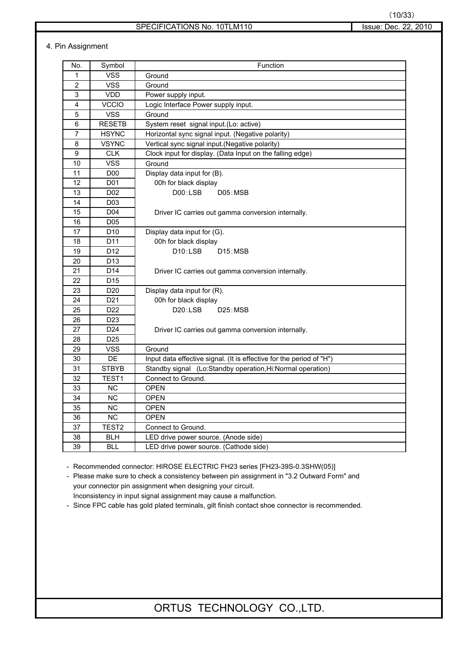#### SPECIFICATIONS No. 10TLM110 Issue: Dec. 22, 2010

#### 4. Pin Assignment

| No.            | Symbol            | Function                                                             |
|----------------|-------------------|----------------------------------------------------------------------|
| $\mathbf{1}$   | <b>VSS</b>        | Ground                                                               |
| $\overline{2}$ | <b>VSS</b>        | Ground                                                               |
| 3              | <b>VDD</b>        | Power supply input.                                                  |
| 4              | <b>VCCIO</b>      | Logic Interface Power supply input.                                  |
| 5              | <b>VSS</b>        | Ground                                                               |
| 6              | <b>RESETB</b>     | System reset signal input.(Lo: active)                               |
| 7              | <b>HSYNC</b>      | Horizontal sync signal input. (Negative polarity)                    |
| 8              | <b>VSYNC</b>      | Vertical sync signal input.(Negative polarity)                       |
| 9              | <b>CLK</b>        | Clock input for display. (Data Input on the falling edge)            |
| 10             | <b>VSS</b>        | Ground                                                               |
| 11             | D <sub>00</sub>   | Display data input for (B).                                          |
| 12             | D01               | 00h for black display                                                |
| 13             | D02               | D00:LSB<br>D05:MSB                                                   |
| 14             | D <sub>03</sub>   |                                                                      |
| 15             | D04               | Driver IC carries out gamma conversion internally.                   |
| 16             | D05               |                                                                      |
| 17             | D <sub>10</sub>   | Display data input for (G).                                          |
| 18             | D11               | 00h for black display                                                |
| 19             | D <sub>12</sub>   | D10:LSB<br>D15:MSB                                                   |
| 20             | D <sub>13</sub>   |                                                                      |
| 21             | D14               | Driver IC carries out gamma conversion internally.                   |
| 22             | D <sub>15</sub>   |                                                                      |
| 23             | D <sub>20</sub>   | Display data input for (R).                                          |
| 24             | D <sub>21</sub>   | 00h for black display                                                |
| 25             | D <sub>22</sub>   | D20:LSB<br>D25:MSB                                                   |
| 26             | D <sub>23</sub>   |                                                                      |
| 27             | D <sub>24</sub>   | Driver IC carries out gamma conversion internally.                   |
| 28             | D <sub>25</sub>   |                                                                      |
| 29             | <b>VSS</b>        | Ground                                                               |
| 30             | <b>DE</b>         | Input data effective signal. (It is effective for the period of "H") |
| 31             | <b>STBYB</b>      | Standby signal (Lo:Standby operation, Hi:Normal operation)           |
| 32             | TEST1             | Connect to Ground.                                                   |
| 33             | <b>NC</b>         | <b>OPEN</b>                                                          |
| 34             | <b>NC</b>         | <b>OPEN</b>                                                          |
| 35             | NC                | <b>OPEN</b>                                                          |
| 36             | <b>NC</b>         | <b>OPEN</b>                                                          |
| 37             | TEST <sub>2</sub> | Connect to Ground.                                                   |
| 38             | <b>BLH</b>        | LED drive power source. (Anode side)                                 |
| 39             | BLL               | LED drive power source. (Cathode side)                               |

- Recommended connector: HIROSE ELECTRIC FH23 series [FH23-39S-0.3SHW(05)]

- Please make sure to check a consistency between pin assignment in "3.2 Outward Form" and your connector pin assignment when designing your circuit.

Inconsistency in input signal assignment may cause a malfunction.

- Since FPC cable has gold plated terminals, gilt finish contact shoe connector is recommended.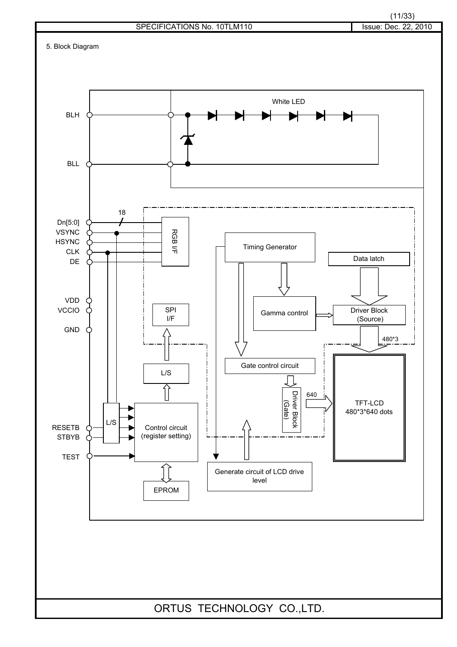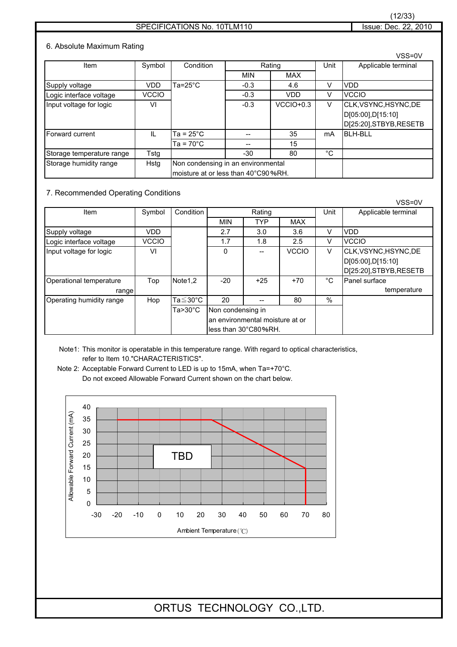#### SPECIFICATIONS No. 10TLM110 Issue: Dec. 22, 2010

#### 6. Absolute Maximum Rating

|                           |              |                                                                           |        |             |    | VSS=0V                                                                |
|---------------------------|--------------|---------------------------------------------------------------------------|--------|-------------|----|-----------------------------------------------------------------------|
| Item                      | Symbol       | Condition                                                                 |        | Rating      |    | Applicable terminal                                                   |
|                           |              |                                                                           | MIN    | <b>MAX</b>  |    |                                                                       |
| Supply voltage            | VDD          | Ta=25°C                                                                   | $-0.3$ | 4.6         | v  | <b>VDD</b>                                                            |
| Logic interface voltage   | <b>VCCIO</b> |                                                                           | $-0.3$ | <b>VDD</b>  | v  | <b>VCCIO</b>                                                          |
| Input voltage for logic   | VI           |                                                                           | $-0.3$ | $VCCIO+0.3$ | V  | CLK, VSYNC, HSYNC, DE<br>D[05:00],D[15:10]<br>D[25:20], STBYB, RESETB |
| Forward current           | $\mathbf{H}$ | Ta = 25°C                                                                 |        | 35          | mA | <b>BLH-BLL</b>                                                        |
|                           |              | $Ta = 70^{\circ}C$                                                        |        | 15          |    |                                                                       |
| Storage temperature range | Tstg         |                                                                           | $-30$  | 80          | °C |                                                                       |
| Storage humidity range    | Hstg         | Non condensing in an environmental<br>moisture at or less than 40°C90%RH. |        |             |    |                                                                       |

#### 7. Recommended Operating Conditions

|                                  |              |                    |                                                                              |            |              |               | VSS=0V                                                                |
|----------------------------------|--------------|--------------------|------------------------------------------------------------------------------|------------|--------------|---------------|-----------------------------------------------------------------------|
| Item                             | Symbol       | Condition          |                                                                              | Rating     |              | Unit          | Applicable terminal                                                   |
|                                  |              |                    | <b>MIN</b>                                                                   | <b>TYP</b> | <b>MAX</b>   |               |                                                                       |
| Supply voltage                   | VDD          |                    | 2.7                                                                          | 3.0        | 3.6          | V             | VDD                                                                   |
| Logic interface voltage          | <b>VCCIO</b> |                    | 1.7                                                                          | 1.8        | 2.5          | V             | <b>VCCIO</b>                                                          |
| Input voltage for logic          | VI           |                    | 0                                                                            |            | <b>VCCIO</b> | $\vee$        | CLK, VSYNC, HSYNC, DE<br>D[05:00],D[15:10]<br>D[25:20], STBYB, RESETB |
| Operational temperature<br>range | Top          | Note1,2            | $-20$                                                                        | $+25$      | $+70$        | °C            | Panel surface<br>temperature                                          |
| Operating humidity range         | Hop          | Ta≦30°C            | 20                                                                           |            | 80           | $\frac{0}{0}$ |                                                                       |
|                                  |              | $Ta > 30^{\circ}C$ | Non condensing in<br>an environmental moisture at or<br>less than 30°C80%RH. |            |              |               |                                                                       |

Note1: This monitor is operatable in this temperature range. With regard to optical characteristics, refer to Item 10."CHARACTERISTICS".

Note 2: Acceptable Forward Current to LED is up to 15mA, when Ta=+70°C. Do not exceed Allowable Forward Current shown on the chart below.

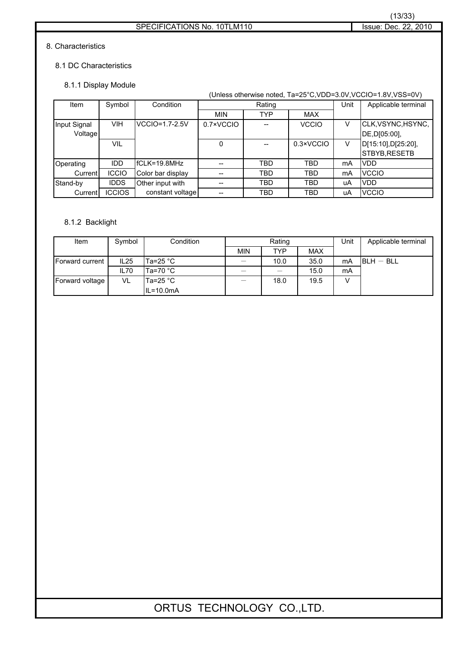#### 8. Characteristics

#### 8.1 DC Characteristics

#### 8.1.1 Display Module

|              |               |                   | (Unless otherwise noted, Ta=25°C, VDD=3.0V, VCCIO=1.8V, VSS=0V) |        |              |      |                     |  |  |
|--------------|---------------|-------------------|-----------------------------------------------------------------|--------|--------------|------|---------------------|--|--|
| Item         | Symbol        | Condition         |                                                                 | Rating |              | Unit | Applicable terminal |  |  |
|              |               |                   | <b>MIN</b>                                                      | TYP    | <b>MAX</b>   |      |                     |  |  |
| Input Signal | <b>VIH</b>    | $VCCIO=1.7-2.5V$  | 0.7×VCCIO                                                       |        | <b>VCCIO</b> | V    | CLK, VSYNC, HSYNC,  |  |  |
| Voltage      |               |                   |                                                                 |        |              |      | DE, D[05:00],       |  |  |
|              | VIL           |                   | 0                                                               |        | 0.3×VCCIO    | V    | D[15:10], D[25:20], |  |  |
|              |               |                   |                                                                 |        |              |      | STBYB, RESETB       |  |  |
| Operating    | <b>IDD</b>    | IfCLK=19.8MHz     |                                                                 | TBD    | TBD          | mA   | <b>VDD</b>          |  |  |
| Current      | <b>ICCIO</b>  | Color bar display |                                                                 | TBD    | TBD          | mA   | <b>VCCIO</b>        |  |  |
| Stand-by     | <b>IDDS</b>   | Other input with  |                                                                 | TBD    | TBD          | uA   | <b>VDD</b>          |  |  |
| Current      | <b>ICCIOS</b> | constant voltage  |                                                                 | TBD    | <b>TBD</b>   | uA   | <b>VCCIO</b>        |  |  |

#### 8.1.2 Backlight

| Item            | Symbol | Condition     | Rating     |      |            | Unit | Applicable terminal |
|-----------------|--------|---------------|------------|------|------------|------|---------------------|
|                 |        |               | <b>MIN</b> | TYP  | <b>MAX</b> |      |                     |
| Forward current | IL25   | Ta=25 °C      |            | 10.0 | 35.0       | mA   | $BLH - BLL$         |
|                 | IL70   | Ta=70 °C      |            |      | 15.0       | mA   |                     |
| Forward voltage | VL     | lTa=25 °C ∶   |            | 18.0 | 19.5       |      |                     |
|                 |        | $IL = 10.0mA$ |            |      |            |      |                     |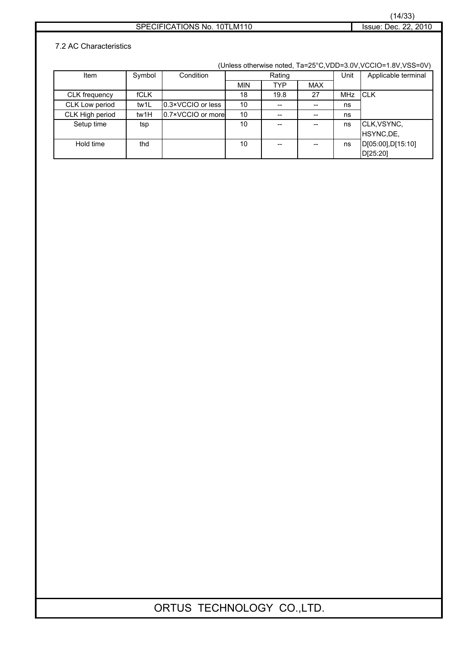## (14/33)

#### SPECIFICATIONS No. 10TLM110 Issue: Dec. 22, 2010

#### 7.2 AC Characteristics

(Unless otherwise noted, Ta=25°C,VDD=3.0V,VCCIO=1.8V,VSS=0V)

| Item            | Symbol      | Condition         | Rating     |                                       |            | Unit | Applicable terminal |
|-----------------|-------------|-------------------|------------|---------------------------------------|------------|------|---------------------|
|                 |             |                   | <b>MIN</b> | <b>TYP</b>                            | <b>MAX</b> |      |                     |
| CLK frequency   | <b>fCLK</b> |                   | 18         | 19.8                                  | 27         | MHz  | <b>ICLK</b>         |
| CLK Low period  | tw1L        | 0.3×VCCIO or less | 10         | $\hspace{0.05cm}$ – $\hspace{0.05cm}$ |            | ns   |                     |
| CLK High period | tw1H        | 0.7×VCCIO or more | 10         | $- -$                                 |            | ns   |                     |
| Setup time      | tsp         |                   | 10         | $- -$                                 |            | ns   | CLK, VSYNC,         |
|                 |             |                   |            |                                       |            |      | HSYNC, DE,          |
| Hold time       | thd         |                   | 10         | $- -$                                 |            | ns   | D[05:00],D[15:10]   |
|                 |             |                   |            |                                       |            |      | D[25:20]            |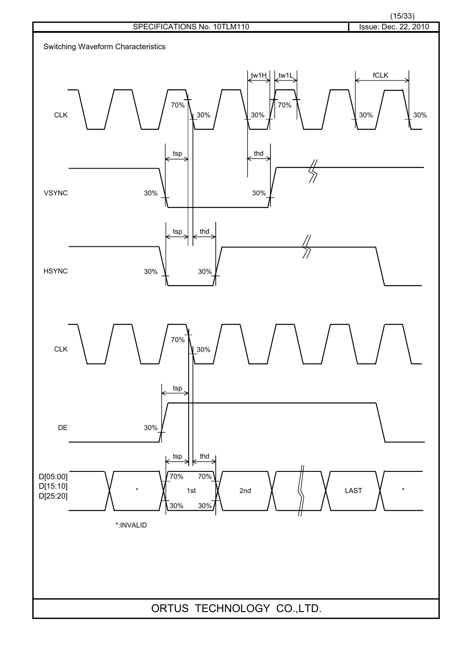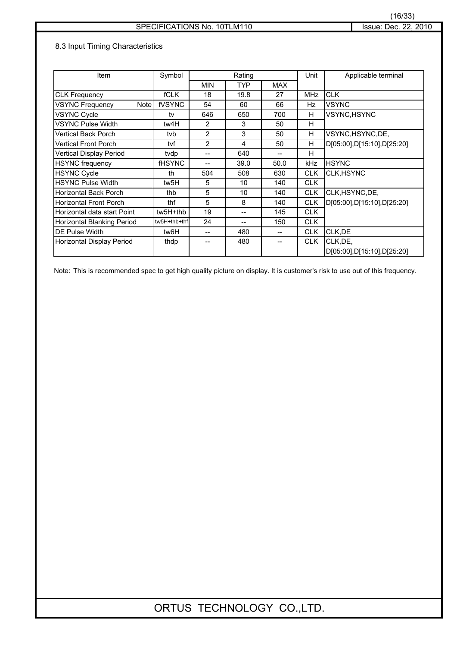#### 8.3 Input Timing Characteristics

| Item                              | Symbol        | Rating     |            | Unit       | Applicable terminal |                            |
|-----------------------------------|---------------|------------|------------|------------|---------------------|----------------------------|
|                                   |               | <b>MIN</b> | <b>TYP</b> | <b>MAX</b> |                     |                            |
| <b>CLK Frequency</b>              | <b>fCLK</b>   | 18         | 19.8       | 27         | <b>MHz</b>          | <b>CLK</b>                 |
| <b>VSYNC Frequency</b><br>Notel   | fVSYNC        | 54         | 60         | 66         | Hz                  | <b>VSYNC</b>               |
| <b>VSYNC Cycle</b>                | tv            | 646        | 650        | 700        | H                   | VSYNC, HSYNC               |
| <b>VSYNC Pulse Width</b>          | tw4H          | 2          | 3          | 50         | н                   |                            |
| <b>Vertical Back Porch</b>        | tvb.          | 2          | 3          | 50         | H                   | VSYNC,HSYNC,DE,            |
| <b>Vertical Front Porch</b>       | tvf           | 2          | 4          | 50         | H                   | D[05:00],D[15:10],D[25:20] |
| Vertical Display Period           | tvdp          | --         | 640        |            | H                   |                            |
| <b>HSYNC</b> frequency            | <b>fHSYNC</b> |            | 39.0       | 50.0       | kHz                 | <b>HSYNC</b>               |
| <b>HSYNC Cycle</b>                | th            | 504        | 508        | 630        | <b>CLK</b>          | <b>CLK, HSYNC</b>          |
| <b>HSYNC Pulse Width</b>          | tw5H          | 5          | 10         | 140        | <b>CLK</b>          |                            |
| Horizontal Back Porch             | thb           | 5          | 10         | 140        | <b>CLK</b>          | CLK, HSYNC, DE,            |
| <b>Horizontal Front Porch</b>     | thf           | 5          | 8          | 140        | <b>CLK</b>          | D[05:00],D[15:10],D[25:20] |
| Horizontal data start Point       | tw5H+thb      | 19         |            | 145        | <b>CLK</b>          |                            |
| <b>Horizontal Blanking Period</b> | tw5H+thb+thf  | 24         | --         | 150        | <b>CLK</b>          |                            |
| DE Pulse Width                    | tw6H          | $- -$      | 480        | --         | <b>CLK</b>          | CLK, DE                    |
| Horizontal Display Period         | thdp          |            | 480        | --         | <b>CLK</b>          | CLK, DE,                   |
|                                   |               |            |            |            |                     | D[05:00],D[15:10],D[25:20] |

Note: This is recommended spec to get high quality picture on display. It is customer's risk to use out of this frequency.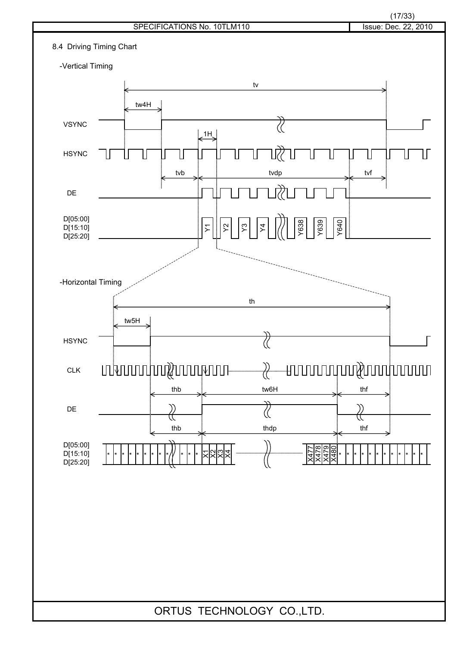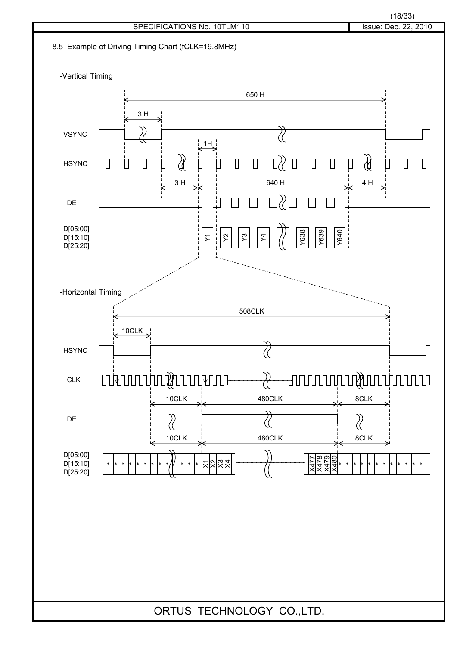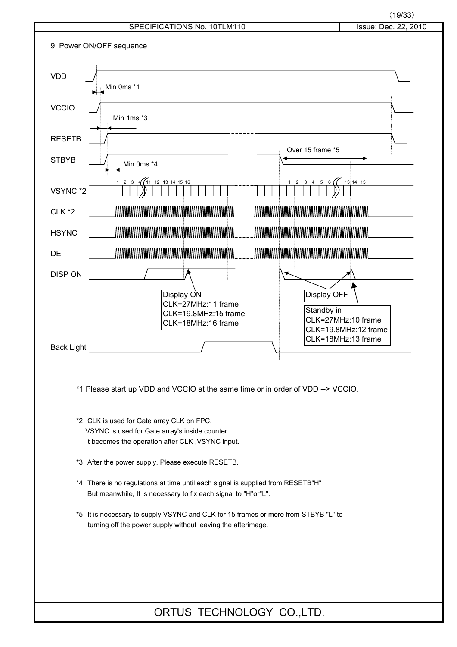$(19/33)$ 

| SPECIFICATIONS No. 10TLM110 | Issue: Dec. 22, 2010 |
|-----------------------------|----------------------|
|                             |                      |
| uence                       |                      |
|                             |                      |
|                             |                      |
|                             |                      |
| c * 1                       |                      |



\*1 Please start up VDD and VCCIO at the same time or in order of VDD --> VCCIO.

\*2 CLK is used for Gate array CLK on FPC. VSYNC is used for Gate array's inside counter. It becomes the operation after CLK ,VSYNC input.

9 Power ON/OFF sequence

- \*3 After the power supply, Please execute RESETB.
- \*4 There is no regulations at time until each signal is supplied from RESETB"H" But meanwhile, It is necessary to fix each signal to "H"or"L".
- \*5 It is necessary to supply VSYNC and CLK for 15 frames or more from STBYB "L" to turning off the power supply without leaving the afterimage.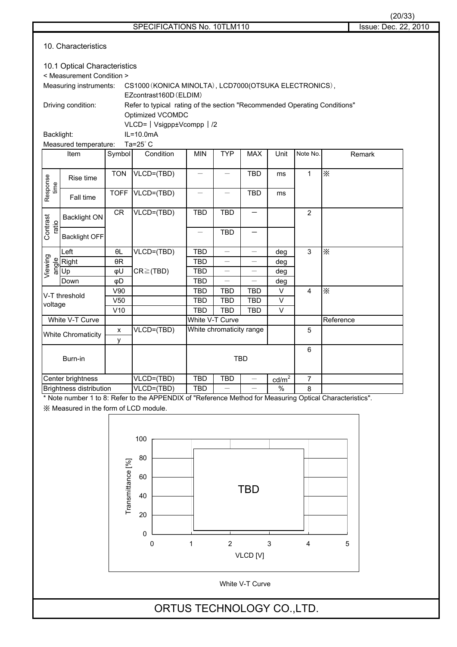| C<br>ď |  |
|--------|--|
|        |  |

| 10. Characteristics |                                                                                                            |                        |                  |                          |                          |                          |             |                |           |  |
|---------------------|------------------------------------------------------------------------------------------------------------|------------------------|------------------|--------------------------|--------------------------|--------------------------|-------------|----------------|-----------|--|
|                     | 10.1 Optical Characteristics<br>< Measurement Condition >                                                  |                        |                  |                          |                          |                          |             |                |           |  |
|                     | Measuring instruments:<br>CS1000 (KONICA MINOLTA), LCD7000 (OTSUKA ELECTRONICS),<br>EZcontrast160D (ELDIM) |                        |                  |                          |                          |                          |             |                |           |  |
|                     | Driving condition:<br>Refer to typical rating of the section "Recommended Operating Conditions"            |                        |                  |                          |                          |                          |             |                |           |  |
|                     | Optimized VCOMDC<br>VLCD=   Vsigpp±Vcompp   /2                                                             |                        |                  |                          |                          |                          |             |                |           |  |
| Backlight:          |                                                                                                            |                        | $IL=10.0mA$      |                          |                          |                          |             |                |           |  |
|                     | Measured temperature:                                                                                      |                        | Ta= $25^\circ$ C |                          |                          |                          |             |                |           |  |
|                     | Item                                                                                                       | Symbol                 | Condition        | <b>MIN</b>               | <b>TYP</b>               | <b>MAX</b>               | Unit        | Note No.       | Remark    |  |
|                     |                                                                                                            | <b>TON</b>             | VLCD=(TBD)       |                          |                          | <b>TBD</b>               | ms          | $\mathbf{1}$   | $\times$  |  |
|                     | Rise time                                                                                                  |                        |                  |                          |                          |                          |             |                |           |  |
| Response<br>time    | Fall time                                                                                                  | <b>TOFF</b>            | VLCD=(TBD)       |                          |                          | <b>TBD</b>               | ms          |                |           |  |
| ratio               | <b>Backlight ON</b>                                                                                        | CR                     | VLCD=(TBD)       | <b>TBD</b>               | <b>TBD</b>               |                          |             | $\overline{2}$ |           |  |
| Contrast            | <b>Backlight OFF</b>                                                                                       |                        |                  |                          | <b>TBD</b>               |                          |             |                |           |  |
|                     | Left                                                                                                       | $\theta L$             | VLCD=(TBD)       | <b>TBD</b>               |                          |                          | deg         | 3              | $\times$  |  |
| Viewing<br>angle    | Right                                                                                                      | $\theta R$             |                  | <b>TBD</b>               |                          |                          | deg         |                |           |  |
|                     | Up                                                                                                         | φU                     | $CR \geq (TBD)$  | <b>TBD</b>               |                          |                          | deg         |                |           |  |
|                     | Down                                                                                                       | φD                     |                  | <b>TBD</b>               |                          |                          | deg         |                |           |  |
|                     | V-T threshold                                                                                              | V90                    |                  | <b>TBD</b>               | <b>TBD</b>               | <b>TBD</b>               | $\vee$      | 4              | $\times$  |  |
| voltage             |                                                                                                            | V <sub>50</sub><br>V10 |                  | <b>TBD</b><br><b>TBD</b> | <b>TBD</b><br><b>TBD</b> | <b>TBD</b><br><b>TBD</b> | V<br>$\vee$ |                |           |  |
| White V-T Curve     |                                                                                                            |                        |                  | White V-T Curve          |                          |                          |             |                | Reference |  |
|                     |                                                                                                            | $\pmb{\mathsf{x}}$     | VLCD=(TBD)       |                          | White chromaticity range |                          |             | 5              |           |  |
|                     | <b>White Chromaticity</b>                                                                                  | y                      |                  |                          |                          |                          |             |                |           |  |
| Burn-in             |                                                                                                            |                        |                  | <b>TBD</b>               |                          |                          | 6           |                |           |  |
|                     | Center brightness                                                                                          |                        | VLCD=(TBD)       | <b>TBD</b>               | <b>TBD</b>               |                          | $cd/m2$     | $\overline{7}$ |           |  |
|                     | <b>Brightness distribution</b>                                                                             |                        | VLCD=(TBD)       | <b>TBD</b>               |                          |                          | $\%$        | 8              |           |  |
|                     | * Note number 1 to 8: Refer to the APPENDIX of "Reference Method for Measuring Optical Characteristics".   |                        |                  |                          |                          |                          |             |                |           |  |

\* Note number 1 to 8: Refer to the APPENDIX of "Reference Method for Measuring Optical Characteristics".

㶎 Measured in the form of LCD module.



White V-T Curve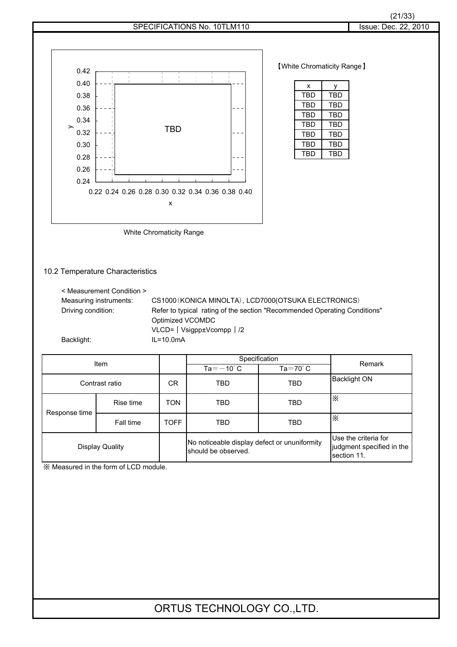

㶎 Measured in the form of LCD module.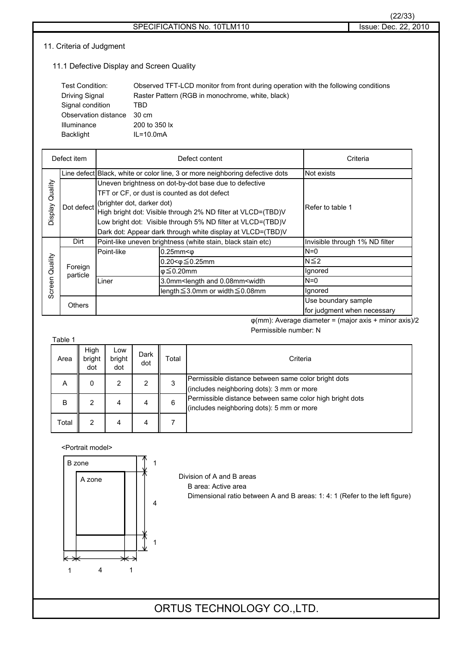#### 11. Criteria of Judgment

11.1 Defective Display and Screen Quality

| Test Condition:      | Observed TFT-LCD monitor from front during operation with the following conditions |
|----------------------|------------------------------------------------------------------------------------|
| Driving Signal       | Raster Pattern (RGB in monochrome, white, black)                                   |
| Signal condition     | TBD                                                                                |
| Observation distance | 30 cm                                                                              |
| <b>Illuminance</b>   | 200 to 350 lx                                                                      |
| Backlight            | $IL = 10.0mA$                                                                      |

| Defect item     |                     |                            | Defect content                                                                 | Criteria                       |
|-----------------|---------------------|----------------------------|--------------------------------------------------------------------------------|--------------------------------|
|                 |                     |                            | Line defect Black, white or color line, 3 or more neighboring defective dots   | Not exists                     |
| Display Quality |                     |                            | Uneven brightness on dot-by-dot base due to defective                          |                                |
|                 |                     |                            | TFT or CF, or dust is counted as dot defect                                    |                                |
|                 | Dot defect          | (brighter dot, darker dot) |                                                                                | Refer to table 1               |
|                 |                     |                            | High bright dot: Visible through 2% ND filter at VLCD=(TBD)V                   |                                |
|                 |                     |                            | Low bright dot: Visible through 5% ND filter at VLCD=(TBD)V                    |                                |
|                 |                     |                            | Dark dot: Appear dark through white display at VLCD=(TBD)V                     |                                |
|                 | Dirt                |                            | Point-like uneven brightness (white stain, black stain etc)                    | Invisible through 1% ND filter |
|                 |                     | Point-like                 | $0.25$ mm $<$ $\phi$                                                           | $N=0$                          |
| Quality         |                     |                            | $0.20 < \phi \leq 0.25$ mm                                                     | $N \leq 2$                     |
|                 | Foreign<br>particle |                            | $\varphi \leq 0.20$ mm                                                         | Ignored                        |
| Screen          |                     | Liner                      | 3.0mm <length 0.08mm<width<="" and="" td=""><td><math>N=0</math></td></length> | $N=0$                          |
|                 |                     |                            | length ≤3.0mm or width ≤0.08mm                                                 | Ignored                        |
|                 | Others              |                            |                                                                                | Use boundary sample            |
|                 |                     |                            |                                                                                | for judgment when necessary    |

 $\varphi$ (mm): Average diameter = (major axis + minor axis)/2 Permissible number: N

| Table 1 |                       |                      |             |       |                                                                                                       |
|---------|-----------------------|----------------------|-------------|-------|-------------------------------------------------------------------------------------------------------|
| Area    | High<br>bright<br>dot | Low<br>bright<br>dot | Dark<br>dot | Total | Criteria                                                                                              |
| Α       | 0                     | 2                    | 2           |       | Permissible distance between same color bright dots<br>(includes neighboring dots): 3 mm or more      |
| B       | 2                     | 4                    | 4           | 6     | Permissible distance between same color high bright dots<br>(includes neighboring dots): 5 mm or more |
| Total   | 2                     | 4                    | 4           |       |                                                                                                       |

<Portrait model>



Division of A and B areas B area: Active area

Dimensional ratio between A and B areas: 1: 4: 1 (Refer to the left figure)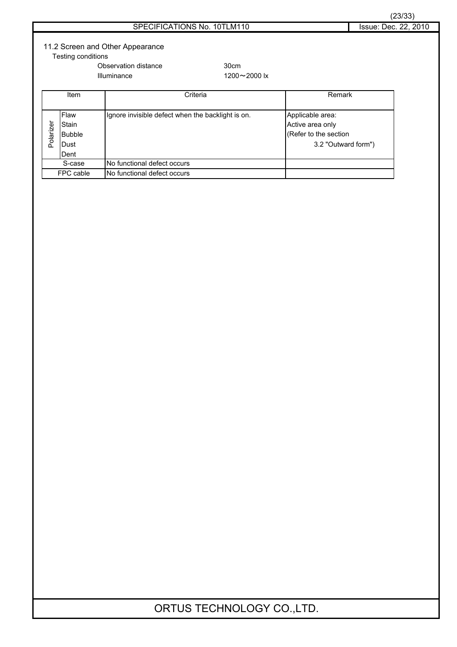| SPECIFICATIONS No. 10TLM110 |  |
|-----------------------------|--|
|-----------------------------|--|

## 11.2 Screen and Other Appearance

Testing conditions

Observation distance 30cm

Illuminance  $1200 \sim 2000$  lx

|           | Item          | Criteria                                          | Remark                |
|-----------|---------------|---------------------------------------------------|-----------------------|
|           |               |                                                   |                       |
|           | Flaw          | Ignore invisible defect when the backlight is on. | Applicable area:      |
|           | Stain         |                                                   | Active area only      |
| Polarizer | <b>Bubble</b> |                                                   | (Refer to the section |
|           | lDust         |                                                   | 3.2 "Outward form")   |
|           | Dent          |                                                   |                       |
|           | S-case        | No functional defect occurs                       |                       |
|           | FPC cable     | No functional defect occurs                       |                       |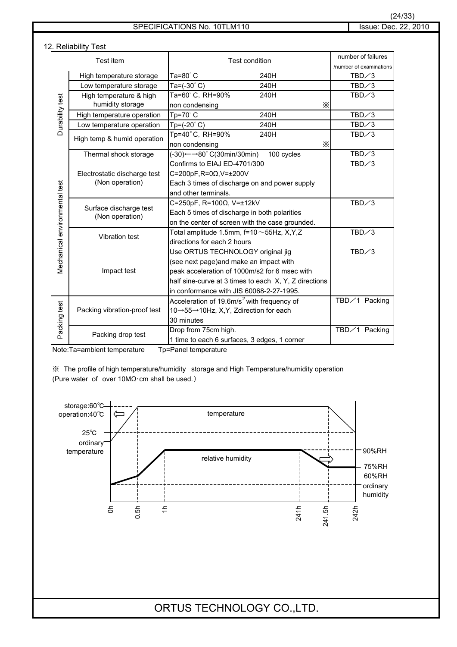#### SPECIFICATIONS No. 10TLM110 Issue: Dec. 22, 2010

#### 12. Reliability Test

|                                | Test item                    | <b>Test condition</b>                                    | number of failures<br>/number of examinations |
|--------------------------------|------------------------------|----------------------------------------------------------|-----------------------------------------------|
|                                | High temperature storage     | Ta=80°C<br>240H                                          | $TBD \diagup 3$                               |
|                                | Low temperature storage      | Ta= $(-30^{\circ} C)$<br>240H                            | $TBD \diagup 3$                               |
|                                | High temperature & high      | Ta=60°C, RH=90%<br>240H                                  | $TBD \diagup 3$                               |
| Durability test                | humidity storage             | X<br>non condensing                                      |                                               |
|                                | High temperature operation   | $\overline{\text{Tp}}$ =70°C<br>240H                     | $TBD \diagup 3$                               |
|                                | Low temperature operation    | $Tp=(-20^{\circ} C)$<br>240H                             | $TBD \diagup 3$                               |
|                                | High temp & humid operation  | Tp=40°C, RH=90%<br>240H                                  | $TBD \diagup 3$                               |
|                                |                              | X<br>non condensing                                      |                                               |
|                                | Thermal shock storage        | $(-30) \leftarrow 80^\circ$ C(30min/30min)<br>100 cycles | $TBD \diagup 3$                               |
|                                |                              | Confirms to EIAJ ED-4701/300                             | $TBD \diagup 3$                               |
|                                | Electrostatic discharge test | C=200pF,R=0 $\Omega$ ,V= $\pm$ 200V                      |                                               |
|                                | (Non operation)              | Each 3 times of discharge on and power supply            |                                               |
| Vlechanical environmental test |                              | and other terminals.                                     |                                               |
|                                | Surface discharge test       | C=250pF, R=100Ω, V=±12kV                                 | $TBD \diagup 3$                               |
|                                | (Non operation)              | Each 5 times of discharge in both polarities             |                                               |
|                                |                              | on the center of screen with the case grounded.          |                                               |
|                                | <b>Vibration test</b>        | Total amplitude 1.5mm, $f=10 \sim 55$ Hz, X,Y,Z          | $TBD \diagup 3$                               |
|                                |                              | directions for each 2 hours                              |                                               |
|                                |                              | Use ORTUS TECHNOLOGY original jig                        | $TBD \diagup 3$                               |
|                                |                              | (see next page) and make an impact with                  |                                               |
|                                | Impact test                  | peak acceleration of 1000m/s2 for 6 msec with            |                                               |
|                                |                              | half sine-curve at 3 times to each X, Y, Z directions    |                                               |
|                                |                              | in conformance with JIS 60068-2-27-1995.                 |                                               |
|                                |                              | Acceleration of 19.6m/s <sup>2</sup> with frequency of   | TBD∕1 Packing                                 |
|                                | Packing vibration-proof test | 10→55→10Hz, X, Y, Zdirection for each                    |                                               |
|                                |                              | 30 minutes                                               |                                               |
| Packing test                   | Packing drop test            | Drop from 75cm high.                                     | TBD/1 Packing                                 |
|                                |                              | 1 time to each 6 surfaces, 3 edges, 1 corner             |                                               |

Note:Ta=ambient temperature Tp=Panel temperature

㶎䇭The profile of high temperature/humidity storage and High Temperature/humidity operation (Pure water of over  $10M\Omega$ ·cm shall be used.)

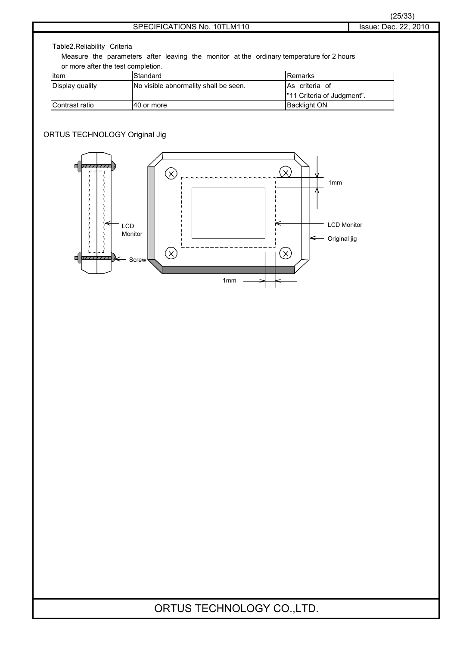Table2.Reliability Criteria

Measure the parameters after leaving the monitor at the ordinary temperature for 2 hours or more after the test completion.

| item            | Standard                              | lRemarks                   |
|-----------------|---------------------------------------|----------------------------|
| Display quality | No visible abnormality shall be seen. | As criteria of             |
|                 |                                       | "11 Criteria of Judgment". |
| Contrast ratio  | 140 or more                           | <b>Backlight ON</b>        |

#### ORTUS TECHNOLOGY Original Jig

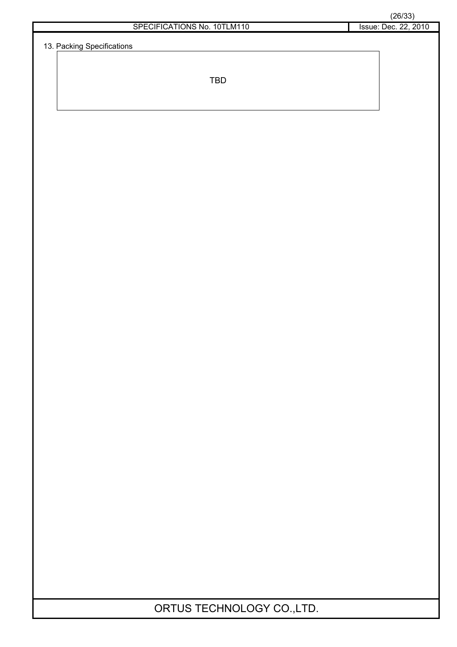13. Packing Specifications

TBD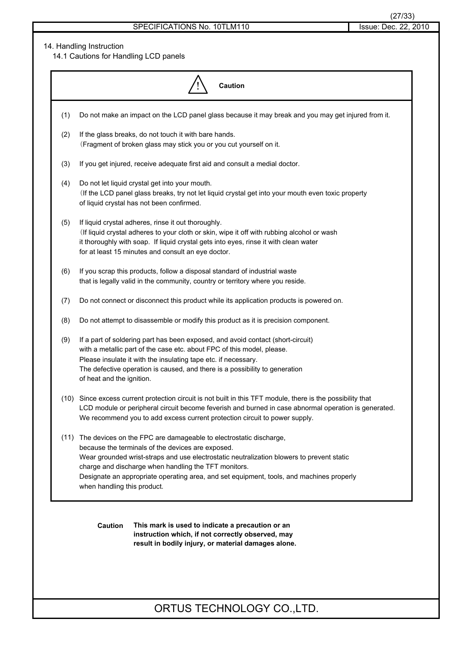#### 14. Handling Instruction

14.1 Cautions for Handling LCD panels

| <b>Caution</b> |                                                                                                                                                                                                                                                                                                                                                                                                             |  |  |  |  |
|----------------|-------------------------------------------------------------------------------------------------------------------------------------------------------------------------------------------------------------------------------------------------------------------------------------------------------------------------------------------------------------------------------------------------------------|--|--|--|--|
| (1)            | Do not make an impact on the LCD panel glass because it may break and you may get injured from it.                                                                                                                                                                                                                                                                                                          |  |  |  |  |
| (2)            | If the glass breaks, do not touch it with bare hands.<br>(Fragment of broken glass may stick you or you cut yourself on it.                                                                                                                                                                                                                                                                                 |  |  |  |  |
| (3)            | If you get injured, receive adequate first aid and consult a medial doctor.                                                                                                                                                                                                                                                                                                                                 |  |  |  |  |
| (4)            | Do not let liquid crystal get into your mouth.<br>(If the LCD panel glass breaks, try not let liquid crystal get into your mouth even toxic property<br>of liquid crystal has not been confirmed.                                                                                                                                                                                                           |  |  |  |  |
| (5)            | If liquid crystal adheres, rinse it out thoroughly.<br>(If liquid crystal adheres to your cloth or skin, wipe it off with rubbing alcohol or wash<br>it thoroughly with soap. If liquid crystal gets into eyes, rinse it with clean water<br>for at least 15 minutes and consult an eye doctor.                                                                                                             |  |  |  |  |
| (6)            | If you scrap this products, follow a disposal standard of industrial waste<br>that is legally valid in the community, country or territory where you reside.                                                                                                                                                                                                                                                |  |  |  |  |
| (7)            | Do not connect or disconnect this product while its application products is powered on.                                                                                                                                                                                                                                                                                                                     |  |  |  |  |
| (8)            | Do not attempt to disassemble or modify this product as it is precision component.                                                                                                                                                                                                                                                                                                                          |  |  |  |  |
| (9)            | If a part of soldering part has been exposed, and avoid contact (short-circuit)<br>with a metallic part of the case etc. about FPC of this model, please.<br>Please insulate it with the insulating tape etc. if necessary.<br>The defective operation is caused, and there is a possibility to generation<br>of heat and the ignition.                                                                     |  |  |  |  |
|                | (10) Since excess current protection circuit is not built in this TFT module, there is the possibility that<br>LCD module or peripheral circuit become feverish and burned in case abnormal operation is generated.<br>We recommend you to add excess current protection circuit to power supply.                                                                                                           |  |  |  |  |
|                | (11) The devices on the FPC are damageable to electrostatic discharge,<br>because the terminals of the devices are exposed.<br>Wear grounded wrist-straps and use electrostatic neutralization blowers to prevent static<br>charge and discharge when handling the TFT monitors.<br>Designate an appropriate operating area, and set equipment, tools, and machines properly<br>when handling this product. |  |  |  |  |
|                | <b>Caution</b><br>This mark is used to indicate a precaution or an<br>instruction which, if not correctly observed, may<br>result in bodily injury, or material damages alone.                                                                                                                                                                                                                              |  |  |  |  |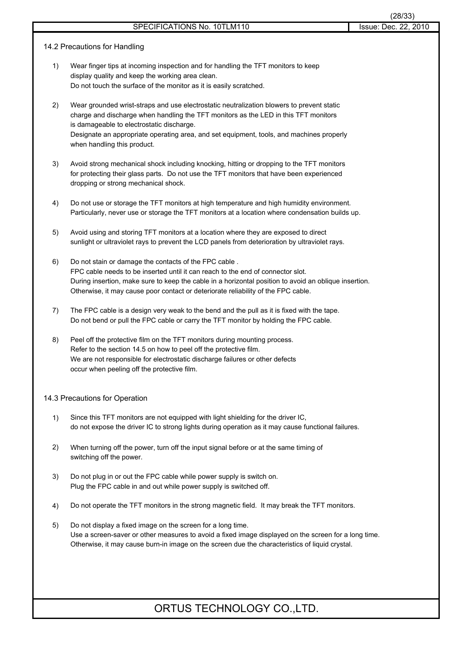- 14.2 Precautions for Handling
	- 1) Wear finger tips at incoming inspection and for handling the TFT monitors to keep display quality and keep the working area clean. Do not touch the surface of the monitor as it is easily scratched.
	- 2) Wear grounded wrist-straps and use electrostatic neutralization blowers to prevent static charge and discharge when handling the TFT monitors as the LED in this TFT monitors is damageable to electrostatic discharge. Designate an appropriate operating area, and set equipment, tools, and machines properly when handling this product.
	- 3) Avoid strong mechanical shock including knocking, hitting or dropping to the TFT monitors for protecting their glass parts. Do not use the TFT monitors that have been experienced dropping or strong mechanical shock.
	- 4) Do not use or storage the TFT monitors at high temperature and high humidity environment. Particularly, never use or storage the TFT monitors at a location where condensation builds up.
	- 5) Avoid using and storing TFT monitors at a location where they are exposed to direct sunlight or ultraviolet rays to prevent the LCD panels from deterioration by ultraviolet rays.
	- 6) Do not stain or damage the contacts of the FPC cable . FPC cable needs to be inserted until it can reach to the end of connector slot. During insertion, make sure to keep the cable in a horizontal position to avoid an oblique insertion. Otherwise, it may cause poor contact or deteriorate reliability of the FPC cable.
	- 7) The FPC cable is a design very weak to the bend and the pull as it is fixed with the tape. Do not bend or pull the FPC cable or carry the TFT monitor by holding the FPC cable.
	- 8) Peel off the protective film on the TFT monitors during mounting process. Refer to the section 14.5 on how to peel off the protective film. We are not responsible for electrostatic discharge failures or other defects occur when peeling off the protective film.

#### 14.3 Precautions for Operation

- 1) Since this TFT monitors are not equipped with light shielding for the driver IC, do not expose the driver IC to strong lights during operation as it may cause functional failures.
- 2) When turning off the power, turn off the input signal before or at the same timing of switching off the power.
- 3) Do not plug in or out the FPC cable while power supply is switch on. Plug the FPC cable in and out while power supply is switched off.
- 4) Do not operate the TFT monitors in the strong magnetic field. It may break the TFT monitors.
- 5) Do not display a fixed image on the screen for a long time. Use a screen-saver or other measures to avoid a fixed image displayed on the screen for a long time. Otherwise, it may cause burn-in image on the screen due the characteristics of liquid crystal.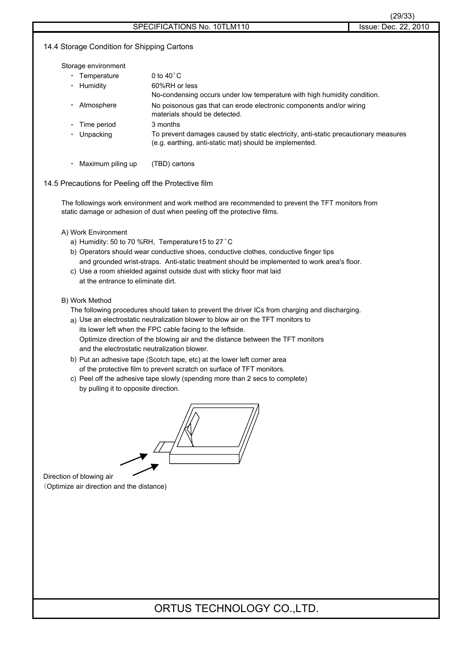#### 14.4 Storage Condition for Shipping Cartons

Storage environment

| Temperature | 0 to $40^{\circ}$ C                                                                                                                            |
|-------------|------------------------------------------------------------------------------------------------------------------------------------------------|
| Humidity    | 60%RH or less                                                                                                                                  |
|             | No-condensing occurs under low temperature with high humidity condition.                                                                       |
| Atmosphere  | No poisonous gas that can erode electronic components and/or wiring<br>materials should be detected.                                           |
| Time period | 3 months                                                                                                                                       |
| Unpacking   | To prevent damages caused by static electricity, anti-static precautionary measures<br>(e.g. earthing, anti-static mat) should be implemented. |
|             |                                                                                                                                                |

• Maximum piling up (TBD) cartons

#### 14.5 Precautions for Peeling off the Protective film

The followings work environment and work method are recommended to prevent the TFT monitors from static damage or adhesion of dust when peeling off the protective films.

#### A) Work Environment

- a) Humidity: 50 to 70 %RH, Temperature15 to 27°C
- b) Operators should wear conductive shoes, conductive clothes, conductive finger tips and grounded wrist-straps. Anti-static treatment should be implemented to work area's floor.
- c) Use a room shielded against outside dust with sticky floor mat laid at the entrance to eliminate dirt.

#### B) Work Method

- The following procedures should taken to prevent the driver ICs from charging and discharging.
- a) Use an electrostatic neutralization blower to blow air on the TFT monitors to its lower left when the FPC cable facing to the leftside. Optimize direction of the blowing air and the distance between the TFT monitors and the electrostatic neutralization blower.
- b) Put an adhesive tape (Scotch tape, etc) at the lower left corner area of the protective film to prevent scratch on surface of TFT monitors.
- c) Peel off the adhesive tape slowly (spending more than 2 secs to complete) by pulling it to opposite direction.

Direction of blowing air 䋨Optimize air direction and the distance)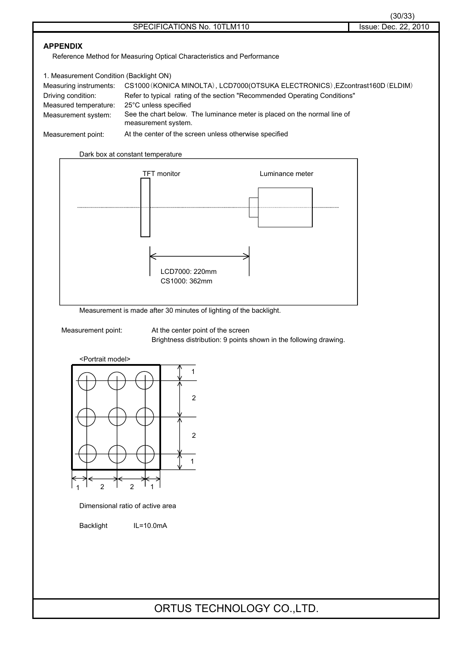Reference Method for Measuring Optical Characteristics and Performance

| 1. Measurement Condition (Backlight ON) |                                                                                                 |
|-----------------------------------------|-------------------------------------------------------------------------------------------------|
| Measuring instruments:                  | CS1000 (KONICA MINOLTA), LCD7000 (OTSUKA ELECTRONICS), EZcontrast160D (ELDIM)                   |
| Driving condition:                      | Refer to typical rating of the section "Recommended Operating Conditions"                       |
| Measured temperature:                   | 25°C unless specified                                                                           |
| Measurement system:                     | See the chart below. The luminance meter is placed on the normal line of<br>measurement system. |
| Measurement point:                      | At the center of the screen unless otherwise specified                                          |



Measurement is made after 30 minutes of lighting of the backlight.

Measurement point: At the center point of the screen Brightness distribution: 9 points shown in the following drawing.

<Portrait model>



Dimensional ratio of active area

Backlight IL=10.0mA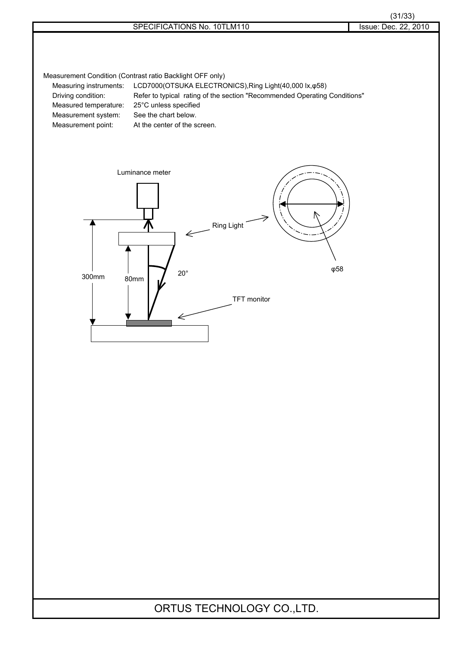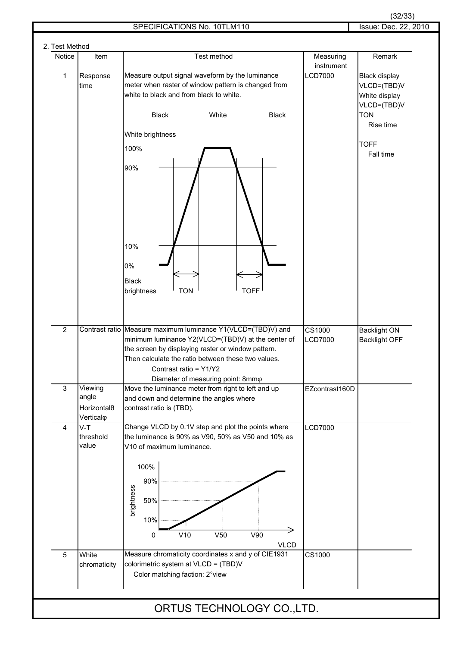#### SPECIFICATIONS No. 10TLM110 Issue: Dec. 22, 2010

| Notice         | Item                                                     | Test method                                                                                                                                                                                                                                                                                   | Measuring<br>instrument  | Remark                                                              |
|----------------|----------------------------------------------------------|-----------------------------------------------------------------------------------------------------------------------------------------------------------------------------------------------------------------------------------------------------------------------------------------------|--------------------------|---------------------------------------------------------------------|
| 1              | Response<br>time                                         | Measure output signal waveform by the luminance<br>meter when raster of window pattern is changed from<br>white to black and from black to white.                                                                                                                                             | <b>LCD7000</b>           | <b>Black display</b><br>VLCD=(TBD)V<br>White display<br>VLCD=(TBD)V |
|                |                                                          | <b>Black</b><br>White<br><b>Black</b><br>White brightness                                                                                                                                                                                                                                     |                          | <b>TON</b><br>Rise time                                             |
|                |                                                          | 100%                                                                                                                                                                                                                                                                                          |                          | <b>TOFF</b><br>Fall time                                            |
|                |                                                          | 90%<br>10%                                                                                                                                                                                                                                                                                    |                          |                                                                     |
|                |                                                          | 0%<br><b>Black</b><br><b>TOFF</b><br>brightness<br><b>TON</b>                                                                                                                                                                                                                                 |                          |                                                                     |
| $\overline{2}$ |                                                          | Contrast ratio Measure maximum luminance Y1(VLCD=(TBD)V) and<br>minimum luminance Y2(VLCD=(TBD)V) at the center of<br>the screen by displaying raster or window pattern.<br>Then calculate the ratio between these two values.<br>Contrast ratio = Y1/Y2<br>Diameter of measuring point: 8mmo | CS1000<br><b>LCD7000</b> | <b>Backlight ON</b><br><b>Backlight OFF</b>                         |
| 3              | Viewing<br>angle<br>Horizontal <sub>0</sub><br>Verticalo | Move the luminance meter from right to left and up<br>and down and determine the angles where<br>contrast ratio is (TBD).                                                                                                                                                                     | EZcontrast160D           |                                                                     |
| 4              | $V-T$<br>threshold<br>value                              | Change VLCD by 0.1V step and plot the points where<br>the luminance is 90% as V90, 50% as V50 and 10% as<br>V10 of maximum luminance.<br>100%<br>90%<br>brightness<br>50%<br>10%<br>V10<br>V <sub>50</sub><br>V90<br>0<br><b>VLCD</b>                                                         | <b>LCD7000</b>           |                                                                     |
| 5              | White<br>chromaticity                                    | Measure chromaticity coordinates x and y of CIE1931<br>colorimetric system at VLCD = (TBD)V<br>Color matching faction: 2° view                                                                                                                                                                | CS1000                   |                                                                     |